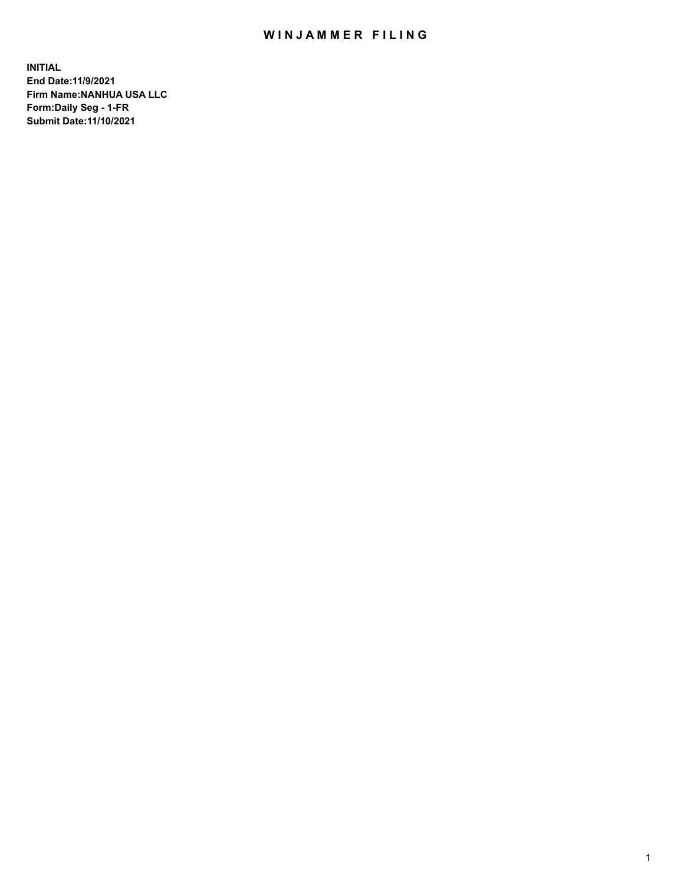# WIN JAMMER FILING

**INITIAL End Date:11/9/2021 Firm Name:NANHUA USA LLC Form:Daily Seg - 1-FR Submit Date:11/10/2021**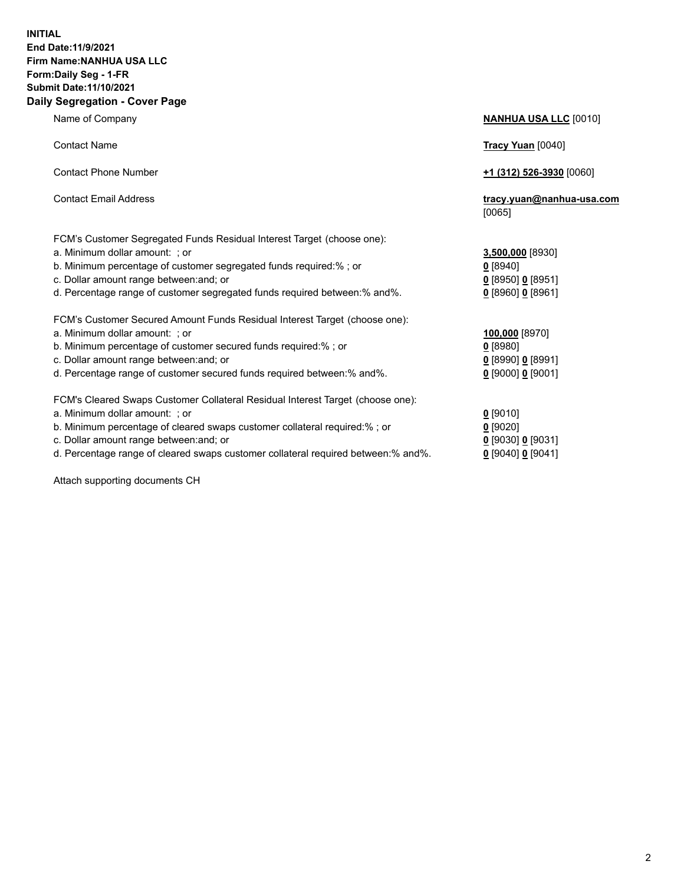### **INITIAL End Date:11/9/2021 Firm Name:NANHUA USA LLC Form:Daily Seg - 1-FR Submit Date:11/10/2021 Daily Segregation - Cover Page**

Name of Company **NANHUA USA LLC** [0010] Contact Name **Tracy Yuan** [0040] Contact Phone Number **+1 (312) 526-3930** [0060] Contact Email Address **tracy.yuan@nanhua-usa.com** [0065] FCM's Customer Segregated Funds Residual Interest Target (choose one): a. Minimum dollar amount: ; or **3,500,000** [8930] b. Minimum percentage of customer segregated funds required:% ; or **0** [8940] c. Dollar amount range between:and; or **0** [8950] **0** [8951] d. Percentage range of customer segregated funds required between:% and%. **0** [8960] **0** [8961] FCM's Customer Secured Amount Funds Residual Interest Target (choose one): a. Minimum dollar amount: ; or **100,000** [8970] b. Minimum percentage of customer secured funds required:% ; or **0** [8980] c. Dollar amount range between:and; or **0** [8990] **0** [8991] d. Percentage range of customer secured funds required between:% and%. **0** [9000] **0** [9001] FCM's Cleared Swaps Customer Collateral Residual Interest Target (choose one): a. Minimum dollar amount: ; or **0 g** b. Minimum percentage of cleared swaps customer collateral required:% ; or **0** c. Dollar amount range between:and; or **0** [9030] **0** [9031]

d. Percentage range of cleared swaps customer collateral required between:% and%. **0** [9040] **0** [9041]

Attach supporting documents CH

| [9010]                 |
|------------------------|
| [9020]                 |
| [9030] <u>0</u> [9031] |
| 190401 <b>0</b> 190411 |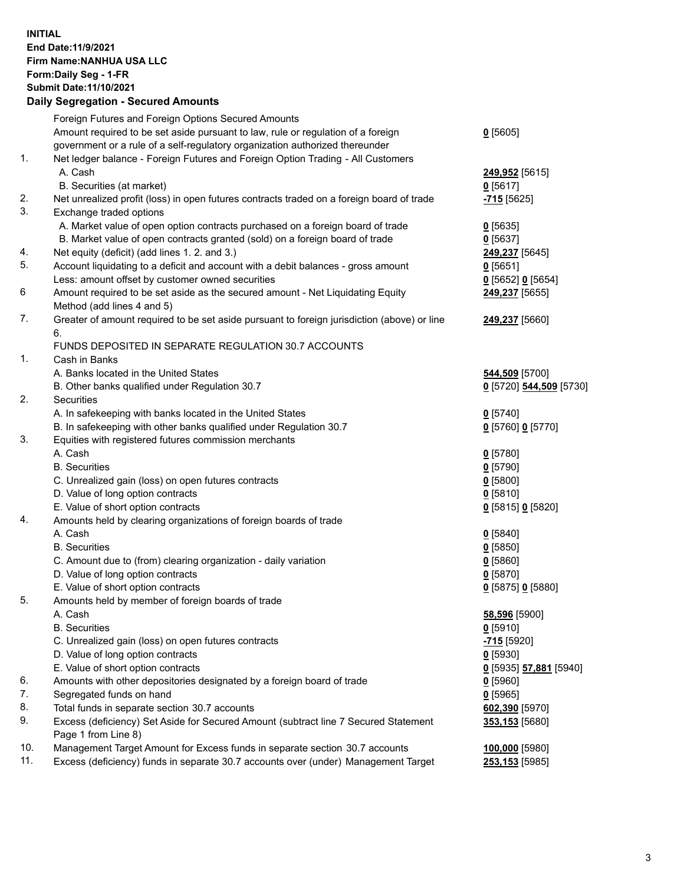**INITIAL End Date:11/9/2021 Firm Name:NANHUA USA LLC Form:Daily Seg - 1-FR Submit Date:11/10/2021**

# **Daily Segregation - Secured Amounts**

|     | Foreign Futures and Foreign Options Secured Amounts                                         |                          |
|-----|---------------------------------------------------------------------------------------------|--------------------------|
|     | Amount required to be set aside pursuant to law, rule or regulation of a foreign            | $0$ [5605]               |
|     | government or a rule of a self-regulatory organization authorized thereunder                |                          |
| 1.  | Net ledger balance - Foreign Futures and Foreign Option Trading - All Customers             |                          |
|     | A. Cash                                                                                     | 249,952 [5615]           |
|     | B. Securities (at market)                                                                   | $0$ [5617]               |
| 2.  | Net unrealized profit (loss) in open futures contracts traded on a foreign board of trade   | <mark>-715</mark> [5625] |
| 3.  | Exchange traded options                                                                     |                          |
|     | A. Market value of open option contracts purchased on a foreign board of trade              | $0$ [5635]               |
|     | B. Market value of open contracts granted (sold) on a foreign board of trade                | $0$ [5637]               |
| 4.  | Net equity (deficit) (add lines 1. 2. and 3.)                                               | 249,237 [5645]           |
| 5.  | Account liquidating to a deficit and account with a debit balances - gross amount           | $0$ [5651]               |
|     | Less: amount offset by customer owned securities                                            | 0 [5652] 0 [5654]        |
| 6   | Amount required to be set aside as the secured amount - Net Liquidating Equity              | 249,237 [5655]           |
|     | Method (add lines 4 and 5)                                                                  |                          |
| 7.  | Greater of amount required to be set aside pursuant to foreign jurisdiction (above) or line | 249,237 [5660]           |
|     | 6.                                                                                          |                          |
|     | FUNDS DEPOSITED IN SEPARATE REGULATION 30.7 ACCOUNTS                                        |                          |
| 1.  | Cash in Banks                                                                               |                          |
|     | A. Banks located in the United States                                                       |                          |
|     |                                                                                             | 544,509 [5700]           |
|     | B. Other banks qualified under Regulation 30.7                                              | 0 [5720] 544,509 [5730]  |
| 2.  | Securities                                                                                  |                          |
|     | A. In safekeeping with banks located in the United States                                   | $0$ [5740]               |
|     | B. In safekeeping with other banks qualified under Regulation 30.7                          | 0 [5760] 0 [5770]        |
| 3.  | Equities with registered futures commission merchants                                       |                          |
|     | A. Cash                                                                                     | $0$ [5780]               |
|     | <b>B.</b> Securities                                                                        | $0$ [5790]               |
|     | C. Unrealized gain (loss) on open futures contracts                                         | $0$ [5800]               |
|     | D. Value of long option contracts                                                           | 0[5810]                  |
|     | E. Value of short option contracts                                                          | 0 [5815] 0 [5820]        |
| 4.  | Amounts held by clearing organizations of foreign boards of trade                           |                          |
|     | A. Cash                                                                                     | $0$ [5840]               |
|     | <b>B.</b> Securities                                                                        | $0$ [5850]               |
|     | C. Amount due to (from) clearing organization - daily variation                             | $0$ [5860]               |
|     | D. Value of long option contracts                                                           | $0$ [5870]               |
|     | E. Value of short option contracts                                                          | 0 [5875] 0 [5880]        |
| 5.  | Amounts held by member of foreign boards of trade                                           |                          |
|     | A. Cash                                                                                     | 58,596 [5900]            |
|     | <b>B.</b> Securities                                                                        | $0$ [5910]               |
|     | C. Unrealized gain (loss) on open futures contracts                                         | <mark>-715</mark> [5920] |
|     | D. Value of long option contracts                                                           | $0$ [5930]               |
|     | E. Value of short option contracts                                                          | 0 [5935] 57,881 [5940]   |
| 6.  | Amounts with other depositories designated by a foreign board of trade                      | $0$ [5960]               |
| 7.  | Segregated funds on hand                                                                    | $0$ [5965]               |
| 8.  | Total funds in separate section 30.7 accounts                                               | 602,390 [5970]           |
| 9.  | Excess (deficiency) Set Aside for Secured Amount (subtract line 7 Secured Statement         | 353,153 [5680]           |
|     | Page 1 from Line 8)                                                                         |                          |
| 10. | Management Target Amount for Excess funds in separate section 30.7 accounts                 | 100,000 [5980]           |
| 11. | Excess (deficiency) funds in separate 30.7 accounts over (under) Management Target          | 253,153 [5985]           |
|     |                                                                                             |                          |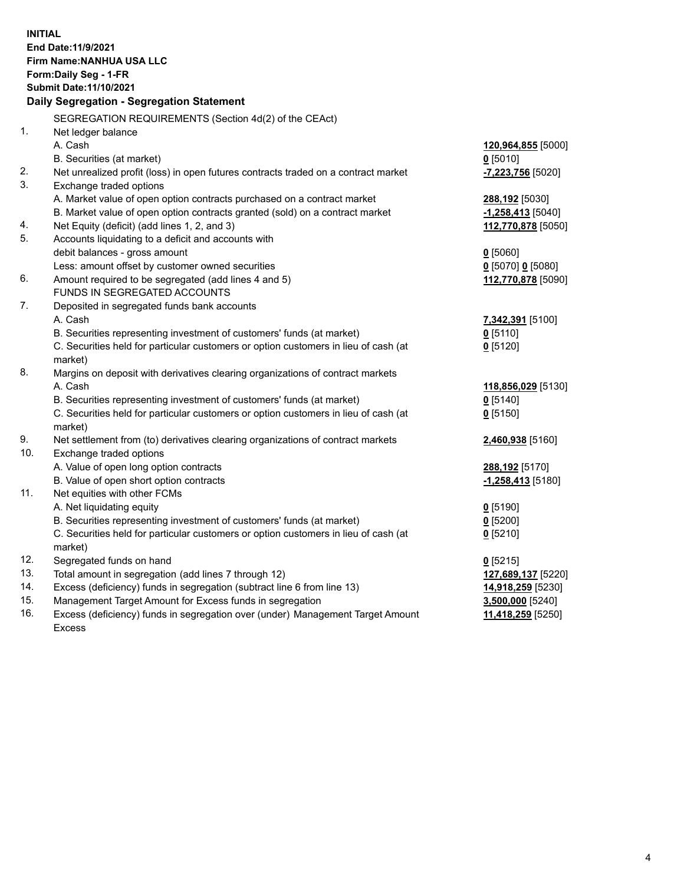**INITIAL End Date:11/9/2021 Firm Name:NANHUA USA LLC Form:Daily Seg - 1-FR Submit Date:11/10/2021 Daily Segregation - Segregation Statement** SEGREGATION REQUIREMENTS (Section 4d(2) of the CEAct) 1. Net ledger balance A. Cash **120,964,855** [5000] B. Securities (at market) **0** [5010] 2. Net unrealized profit (loss) in open futures contracts traded on a contract market **-7,223,756** [5020] 3. Exchange traded options A. Market value of open option contracts purchased on a contract market **288,192** [5030] B. Market value of open option contracts granted (sold) on a contract market **-1,258,413** [5040] 4. Net Equity (deficit) (add lines 1, 2, and 3) **112,770,878** [5050] 5. Accounts liquidating to a deficit and accounts with debit balances - gross amount **0** [5060] Less: amount offset by customer owned securities **0** [5070] **0** [5080] 6. Amount required to be segregated (add lines 4 and 5) **112,770,878** [5090] FUNDS IN SEGREGATED ACCOUNTS 7. Deposited in segregated funds bank accounts A. Cash **7,342,391** [5100] B. Securities representing investment of customers' funds (at market) **0** [5110] C. Securities held for particular customers or option customers in lieu of cash (at market) **0** [5120] 8. Margins on deposit with derivatives clearing organizations of contract markets A. Cash **118,856,029** [5130] B. Securities representing investment of customers' funds (at market) **0** [5140] C. Securities held for particular customers or option customers in lieu of cash (at market) **0** [5150] 9. Net settlement from (to) derivatives clearing organizations of contract markets **2,460,938** [5160] 10. Exchange traded options A. Value of open long option contracts **288,192** [5170] B. Value of open short option contracts **-1,258,413** [5180] 11. Net equities with other FCMs A. Net liquidating equity **0** [5190] B. Securities representing investment of customers' funds (at market) **0** [5200] C. Securities held for particular customers or option customers in lieu of cash (at market) **0** [5210] 12. Segregated funds on hand **0** [5215] 13. Total amount in segregation (add lines 7 through 12) **127,689,137** [5220] 14. Excess (deficiency) funds in segregation (subtract line 6 from line 13) **14,918,259** [5230] 15. Management Target Amount for Excess funds in segregation **3,500,000** [5240] 16. Excess (deficiency) funds in segregation over (under) Management Target Amount **11,418,259** [5250]

Excess